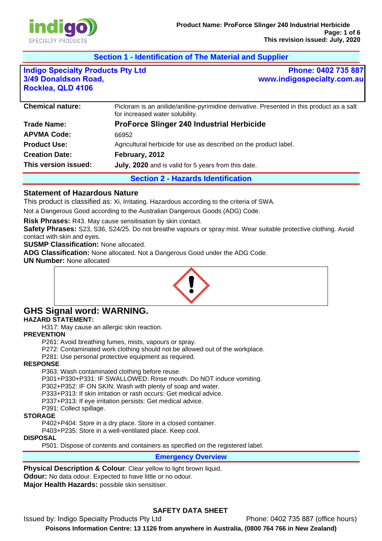

# **Section 1 - Identification of The Material and Supplier**

| <b>Indigo Specialty Products Pty Ltd</b> |  |
|------------------------------------------|--|
| 3/49 Donaldson Road,                     |  |
| Rocklea, QLD 4106                        |  |

**Phone: 0402 735 887 www.indigospecialty.com.au**

| <b>Trade Name:</b>    | <b>ProForce Slinger 240 Industrial Herbicide</b>                  |
|-----------------------|-------------------------------------------------------------------|
| <b>APVMA Code:</b>    | 66952                                                             |
| <b>Product Use:</b>   | Agricultural herbicide for use as described on the product label. |
| <b>Creation Date:</b> | February, 2012                                                    |
| This version issued:  | July, 2020 and is valid for 5 years from this date.               |

### **Statement of Hazardous Nature**

This product is classified as: Xi, Irritating. Hazardous according to the criteria of SWA.

Not a Dangerous Good according to the Australian Dangerous Goods (ADG) Code.

**Risk Phrases:** R43. May cause sensitisation by skin contact.

**Safety Phrases:** S23, S36, S24/25. Do not breathe vapours or spray mist. Wear suitable protective clothing. Avoid contact with skin and eyes.

**SUSMP Classification:** None allocated.

**ADG Classification:** None allocated. Not a Dangerous Good under the ADG Code.

**UN Number:** None allocated



### **GHS Signal word: WARNING. HAZARD STATEMENT:**

H317: May cause an allergic skin reaction.

**PREVENTION** 

P261: Avoid breathing fumes, mists, vapours or spray.

P272: Contaminated work clothing should not be allowed out of the workplace.

P281: Use personal protective equipment as required.

#### **RESPONSE**

P363: Wash contaminated clothing before reuse.

P301+P330+P331: IF SWALLOWED: Rinse mouth. Do NOT induce vomiting.

P302+P352: IF ON SKIN: Wash with plenty of soap and water.

P333+P313: If skin irritation or rash occurs: Get medical advice.

P337+P313: If eye irritation persists: Get medical advice.

P391: Collect spillage.

#### **STORAGE**

P402+P404: Store in a dry place. Store in a closed container.

P403+P235: Store in a well-ventilated place. Keep cool.

#### **DISPOSAL**

P501: Dispose of contents and containers as specified on the registered label.

**Emergency Overview** 

**Physical Description & Colour:** Clear vellow to light brown liquid.

**Odour:** No data odour. Expected to have little or no odour.

**Major Health Hazards:** possible skin sensitiser.

# **SAFETY DATA SHEET**

Issued by: Indigo Specialty Products Pty Ltd Phone: 0402 735 887 (office hours) **Poisons Information Centre: 13 1126 from anywhere in Australia, (0800 764 766 in New Zealand)**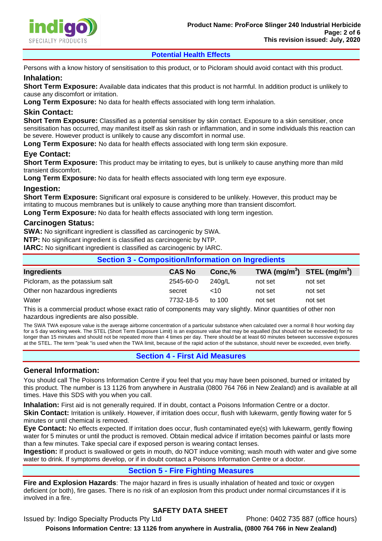

## **Potential Health Effects**

Persons with a know history of sensitisation to this product, or to Picloram should avoid contact with this product.

## **Inhalation:**

**Short Term Exposure:** Available data indicates that this product is not harmful. In addition product is unlikely to cause any discomfort or irritation.

**Long Term Exposure:** No data for health effects associated with long term inhalation.

## **Skin Contact:**

**Short Term Exposure:** Classified as a potential sensitiser by skin contact. Exposure to a skin sensitiser, once sensitisation has occurred, may manifest itself as skin rash or inflammation, and in some individuals this reaction can be severe. However product is unlikely to cause any discomfort in normal use.

**Long Term Exposure:** No data for health effects associated with long term skin exposure.

## **Eye Contact:**

**Short Term Exposure:** This product may be irritating to eyes, but is unlikely to cause anything more than mild transient discomfort.

**Long Term Exposure:** No data for health effects associated with long term eye exposure.

## **Ingestion:**

**Short Term Exposure:** Significant oral exposure is considered to be unlikely. However, this product may be irritating to mucous membranes but is unlikely to cause anything more than transient discomfort.

**Long Term Exposure:** No data for health effects associated with long term ingestion.

## **Carcinogen Status:**

**SWA:** No significant ingredient is classified as carcinogenic by SWA.

**NTP:** No significant ingredient is classified as carcinogenic by NTP.

**IARC:** No significant ingredient is classified as carcinogenic by IARC.

| <b>Section 3 - Composition/Information on Ingredients</b> |               |          |                                                    |         |  |
|-----------------------------------------------------------|---------------|----------|----------------------------------------------------|---------|--|
| Ingredients                                               | <b>CAS No</b> | Conc,%   | TWA (mg/m <sup>3</sup> ) STEL (mg/m <sup>3</sup> ) |         |  |
| Picloram, as the potassium salt                           | 2545-60-0     | 240a/L   | not set                                            | not set |  |
| Other non hazardous ingredients                           | secret        | ~10      | not set                                            | not set |  |
| Water                                                     | 7732-18-5     | to $100$ | not set                                            | not set |  |
|                                                           |               |          |                                                    |         |  |

This is a commercial product whose exact ratio of components may vary slightly. Minor quantities of other non hazardous ingredients are also possible.

The SWA TWA exposure value is the average airborne concentration of a particular substance when calculated over a normal 8 hour working day for a 5 day working week. The STEL (Short Term Exposure Limit) is an exposure value that may be equalled (but should not be exceeded) for no longer than 15 minutes and should not be repeated more than 4 times per day. There should be at least 60 minutes between successive exposures at the STEL. The term "peak "is used when the TWA limit, because of the rapid action of the substance, should never be exceeded, even briefly.

# **Section 4 - First Aid Measures**

## **General Information:**

You should call The Poisons Information Centre if you feel that you may have been poisoned, burned or irritated by this product. The number is 13 1126 from anywhere in Australia (0800 764 766 in New Zealand) and is available at all times. Have this SDS with you when you call.

**Inhalation:** First aid is not generally required. If in doubt, contact a Poisons Information Centre or a doctor. **Skin Contact:** Irritation is unlikely. However, if irritation does occur, flush with lukewarm, gently flowing water for 5 minutes or until chemical is removed.

**Eye Contact:** No effects expected. If irritation does occur, flush contaminated eye(s) with lukewarm, gently flowing water for 5 minutes or until the product is removed. Obtain medical advice if irritation becomes painful or lasts more than a few minutes. Take special care if exposed person is wearing contact lenses.

**Ingestion:** If product is swallowed or gets in mouth, do NOT induce vomiting; wash mouth with water and give some water to drink. If symptoms develop, or if in doubt contact a Poisons Information Centre or a doctor.

# **Section 5 - Fire Fighting Measures**

**Fire and Explosion Hazards**: The major hazard in fires is usually inhalation of heated and toxic or oxygen deficient (or both), fire gases. There is no risk of an explosion from this product under normal circumstances if it is involved in a fire.

# **SAFETY DATA SHEET**

Issued by: Indigo Specialty Products Pty Ltd Phone: 0402 735 887 (office hours)

**Poisons Information Centre: 13 1126 from anywhere in Australia, (0800 764 766 in New Zealand)**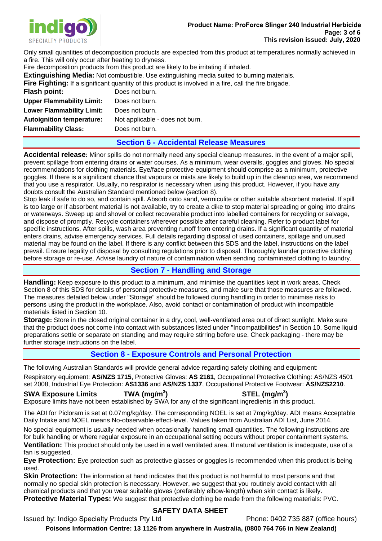

Only small quantities of decomposition products are expected from this product at temperatures normally achieved in a fire. This will only occur after heating to dryness.

Fire decomposition products from this product are likely to be irritating if inhaled.

**Extinguishing Media:** Not combustible. Use extinguishing media suited to burning materials.

**Fire Fighting:** If a significant quantity of this product is involved in a fire, call the fire brigade.

**Flash point:** Does not burn. **Upper Flammability Limit:** Does not burn. **Lower Flammability Limit:** Does not burn.

**Autoignition temperature:** Not applicable - does not burn. **Flammability Class:** Does not burn.

## **Section 6 - Accidental Release Measures**

**Accidental release:** Minor spills do not normally need any special cleanup measures. In the event of a major spill, prevent spillage from entering drains or water courses. As a minimum, wear overalls, goggles and gloves. No special recommendations for clothing materials. Eye/face protective equipment should comprise as a minimum, protective goggles. If there is a significant chance that vapours or mists are likely to build up in the cleanup area, we recommend that you use a respirator. Usually, no respirator is necessary when using this product. However, if you have any doubts consult the Australian Standard mentioned below (section 8).

Stop leak if safe to do so, and contain spill. Absorb onto sand, vermiculite or other suitable absorbent material. If spill is too large or if absorbent material is not available, try to create a dike to stop material spreading or going into drains or waterways. Sweep up and shovel or collect recoverable product into labelled containers for recycling or salvage, and dispose of promptly. Recycle containers wherever possible after careful cleaning. Refer to product label for specific instructions. After spills, wash area preventing runoff from entering drains. If a significant quantity of material enters drains, advise emergency services. Full details regarding disposal of used containers, spillage and unused material may be found on the label. If there is any conflict between this SDS and the label, instructions on the label prevail. Ensure legality of disposal by consulting regulations prior to disposal. Thoroughly launder protective clothing before storage or re-use. Advise laundry of nature of contamination when sending contaminated clothing to laundry.

## **Section 7 - Handling and Storage**

**Handling:** Keep exposure to this product to a minimum, and minimise the quantities kept in work areas. Check Section 8 of this SDS for details of personal protective measures, and make sure that those measures are followed. The measures detailed below under "Storage" should be followed during handling in order to minimise risks to persons using the product in the workplace. Also, avoid contact or contamination of product with incompatible materials listed in Section 10.

**Storage:** Store in the closed original container in a dry, cool, well-ventilated area out of direct sunlight. Make sure that the product does not come into contact with substances listed under "Incompatibilities" in Section 10. Some liquid preparations settle or separate on standing and may require stirring before use. Check packaging - there may be further storage instructions on the label.

# **Section 8 - Exposure Controls and Personal Protection**

The following Australian Standards will provide general advice regarding safety clothing and equipment:

Respiratory equipment: **AS/NZS 1715**, Protective Gloves: **AS 2161**, Occupational Protective Clothing: AS/NZS 4501 set 2008, Industrial Eye Protection: **AS1336** and **AS/NZS 1337**, Occupational Protective Footwear: **AS/NZS2210**.

**SWA Exposure Limits TWA (mg/m<sup>3</sup> ) STEL (mg/m<sup>3</sup> )**  Exposure limits have not been established by SWA for any of the significant ingredients in this product.

The ADI for Picloram is set at 0.07mg/kg/day. The corresponding NOEL is set at 7mg/kg/day. ADI means Acceptable Daily Intake and NOEL means No-observable-effect-level. Values taken from Australian ADI List, June 2014.

No special equipment is usually needed when occasionally handling small quantities. The following instructions are for bulk handling or where regular exposure in an occupational setting occurs without proper containment systems. **Ventilation:** This product should only be used in a well ventilated area. If natural ventilation is inadequate, use of a fan is suggested.

**Eye Protection:** Eye protection such as protective glasses or goggles is recommended when this product is being used.

**Skin Protection:** The information at hand indicates that this product is not harmful to most persons and that normally no special skin protection is necessary. However, we suggest that you routinely avoid contact with all chemical products and that you wear suitable gloves (preferably elbow-length) when skin contact is likely. **Protective Material Types:** We suggest that protective clothing be made from the following materials: PVC.

# **SAFETY DATA SHEET**

Issued by: Indigo Specialty Products Pty Ltd Phone: 0402 735 887 (office hours)

**Poisons Information Centre: 13 1126 from anywhere in Australia, (0800 764 766 in New Zealand)**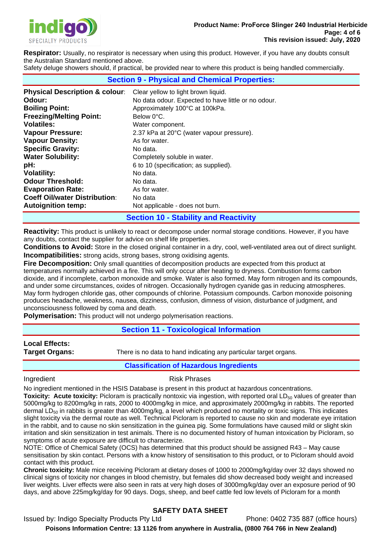

**Respirator:** Usually, no respirator is necessary when using this product. However, if you have any doubts consult the Australian Standard mentioned above.

Safety deluge showers should, if practical, be provided near to where this product is being handled commercially.

| <b>Section 9 - Physical and Chemical Properties:</b> |                                                     |  |  |  |
|------------------------------------------------------|-----------------------------------------------------|--|--|--|
| <b>Physical Description &amp; colour:</b>            | Clear yellow to light brown liquid.                 |  |  |  |
| Odour:                                               | No data odour. Expected to have little or no odour. |  |  |  |
| <b>Boiling Point:</b>                                | Approximately 100°C at 100kPa.                      |  |  |  |
| <b>Freezing/Melting Point:</b>                       | Below 0°C.                                          |  |  |  |
| <b>Volatiles:</b>                                    | Water component.                                    |  |  |  |
| <b>Vapour Pressure:</b>                              | 2.37 kPa at 20°C (water vapour pressure).           |  |  |  |
| <b>Vapour Density:</b>                               | As for water.                                       |  |  |  |
| <b>Specific Gravity:</b>                             | No data.                                            |  |  |  |
| <b>Water Solubility:</b>                             | Completely soluble in water.                        |  |  |  |
| pH:                                                  | 6 to 10 (specification; as supplied).               |  |  |  |
| <b>Volatility:</b>                                   | No data.                                            |  |  |  |
| <b>Odour Threshold:</b>                              | No data.                                            |  |  |  |
| <b>Evaporation Rate:</b>                             | As for water.                                       |  |  |  |
| <b>Coeff Oil/water Distribution:</b>                 | No data                                             |  |  |  |
| <b>Autoignition temp:</b>                            | Not applicable - does not burn.                     |  |  |  |

## **Section 10 - Stability and Reactivity**

**Reactivity:** This product is unlikely to react or decompose under normal storage conditions. However, if you have any doubts, contact the supplier for advice on shelf life properties.

**Conditions to Avoid:** Store in the closed original container in a dry, cool, well-ventilated area out of direct sunlight. **Incompatibilities:** strong acids, strong bases, strong oxidising agents.

**Fire Decomposition:** Only small quantities of decomposition products are expected from this product at temperatures normally achieved in a fire. This will only occur after heating to dryness. Combustion forms carbon dioxide, and if incomplete, carbon monoxide and smoke. Water is also formed. May form nitrogen and its compounds, and under some circumstances, oxides of nitrogen. Occasionally hydrogen cyanide gas in reducing atmospheres. May form hydrogen chloride gas, other compounds of chlorine. Potassium compounds. Carbon monoxide poisoning produces headache, weakness, nausea, dizziness, confusion, dimness of vision, disturbance of judgment, and unconsciousness followed by coma and death.

**Polymerisation:** This product will not undergo polymerisation reactions.

## **Section 11 - Toxicological Information**

**Local Effects:** 

**Target Organs:** There is no data to hand indicating any particular target organs.

**Classification of Hazardous Ingredients** 

#### Ingredient **Risk Phrases**

No ingredient mentioned in the HSIS Database is present in this product at hazardous concentrations.

**Toxicity: Acute toxicity:** Picloram is practically nontoxic via ingestion, with reported oral LD<sub>50</sub> values of greater than 5000mg/kg to 8200mg/kg in rats, 2000 to 4000mg/kg in mice, and approximately 2000mg/kg in rabbits. The reported dermal  $LD_{50}$  in rabbits is greater than 4000mg/kg, a level which produced no mortality or toxic signs. This indicates slight toxicity via the dermal route as well. Technical Picloram is reported to cause no skin and moderate eye irritation in the rabbit, and to cause no skin sensitization in the guinea pig. Some formulations have caused mild or slight skin irritation and skin sensitization in test animals. There is no documented history of human intoxication by Picloram, so symptoms of acute exposure are difficult to characterize.

NOTE: Office of Chemical Safety (OCS) has determined that this product should be assigned R43 – May cause sensitisation by skin contact. Persons with a know history of sensitisation to this product, or to Picloram should avoid contact with this product.

**Chronic toxicity:** Male mice receiving Picloram at dietary doses of 1000 to 2000mg/kg/day over 32 days showed no clinical signs of toxicity nor changes in blood chemistry, but females did show decreased body weight and increased liver weights. Liver effects were also seen in rats at very high doses of 3000mg/kg/day over an exposure period of 90 days, and above 225mg/kg/day for 90 days. Dogs, sheep, and beef cattle fed low levels of Picloram for a month

# **SAFETY DATA SHEET**

Issued by: Indigo Specialty Products Pty Ltd Phone: 0402 735 887 (office hours) **Poisons Information Centre: 13 1126 from anywhere in Australia, (0800 764 766 in New Zealand)**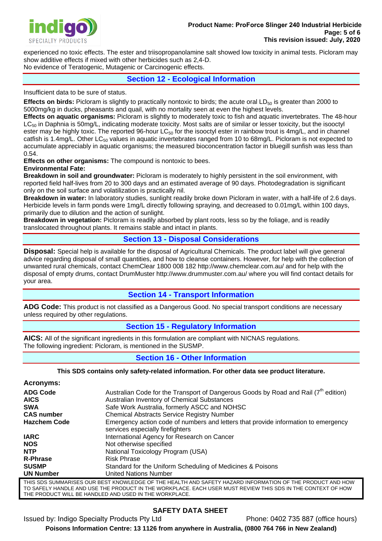

experienced no toxic effects. The ester and triisopropanolamine salt showed low toxicity in animal tests. Picloram may show additive effects if mixed with other herbicides such as 2,4-D.

No evidence of Teratogenic, Mutagenic or Carcinogenic effects.

**Section 12 - Ecological Information** 

Insufficient data to be sure of status.

**Effects on birds:** Picloram is slightly to practically nontoxic to birds; the acute oral LD<sub>50</sub> is greater than 2000 to 5000mg/kg in ducks, pheasants and quail, with no mortality seen at even the highest levels.

**Effects on aquatic organisms:** Picloram is slightly to moderately toxic to fish and aquatic invertebrates. The 48-hour  $LC_{50}$  in Daphnia is 50mg/L, indicating moderate toxicity. Most salts are of similar or lesser toxicity, but the isooctyl ester may be highly toxic. The reported 96-hour  $LC_{50}$  for the isooctyl ester in rainbow trout is  $4mg/L$ , and in channel catfish is 1.4mg/L. Other LC<sub>50</sub> values in aquatic invertebrates ranged from 10 to 68mg/L. Picloram is not expected to accumulate appreciably in aquatic organisms; the measured bioconcentration factor in bluegill sunfish was less than 0.54.

**Effects on other organisms:** The compound is nontoxic to bees.

#### **Environmental Fate:**

**Breakdown in soil and groundwater:** Picloram is moderately to highly persistent in the soil environment, with reported field half-lives from 20 to 300 days and an estimated average of 90 days. Photodegradation is significant only on the soil surface and volatilization is practically nil.

**Breakdown in water:** In laboratory studies, sunlight readily broke down Picloram in water, with a half-life of 2.6 days. Herbicide levels in farm ponds were 1mg/L directly following spraying, and decreased to 0.01mg/L within 100 days, primarily due to dilution and the action of sunlight.

**Breakdown in vegetation:** Picloram is readily absorbed by plant roots, less so by the foliage, and is readily translocated throughout plants. It remains stable and intact in plants.

## **Section 13 - Disposal Considerations**

**Disposal:** Special help is available for the disposal of Agricultural Chemicals. The product label will give general advice regarding disposal of small quantities, and how to cleanse containers. However, for help with the collection of unwanted rural chemicals, contact ChemClear 1800 008 182 http://www.chemclear.com.au/ and for help with the disposal of empty drums, contact DrumMuster http://www.drummuster.com.au/ where you will find contact details for your area.

# **Section 14 - Transport Information**

**ADG Code:** This product is not classified as a Dangerous Good. No special transport conditions are necessary unless required by other regulations.

# **Section 15 - Regulatory Information**

**AICS:** All of the significant ingredients in this formulation are compliant with NICNAS regulations. The following ingredient: Picloram, is mentioned in the SUSMP.

# **Section 16 - Other Information**

#### **This SDS contains only safety-related information. For other data see product literature.**

| Acronyms:           |                                                                                                                        |
|---------------------|------------------------------------------------------------------------------------------------------------------------|
| <b>ADG Code</b>     | Australian Code for the Transport of Dangerous Goods by Road and Rail $(7^{\text{th}})$ edition)                       |
| <b>AICS</b>         | Australian Inventory of Chemical Substances                                                                            |
| <b>SWA</b>          | Safe Work Australia, formerly ASCC and NOHSC                                                                           |
| <b>CAS number</b>   | <b>Chemical Abstracts Service Registry Number</b>                                                                      |
| <b>Hazchem Code</b> | Emergency action code of numbers and letters that provide information to emergency<br>services especially firefighters |
| <b>IARC</b>         | International Agency for Research on Cancer                                                                            |
| <b>NOS</b>          | Not otherwise specified                                                                                                |
| <b>NTP</b>          | National Toxicology Program (USA)                                                                                      |
| <b>R-Phrase</b>     | <b>Risk Phrase</b>                                                                                                     |
| <b>SUSMP</b>        | Standard for the Uniform Scheduling of Medicines & Poisons                                                             |
| <b>UN Number</b>    | United Nations Number                                                                                                  |
|                     | THIS SDS SUMMARISES OUR BEST KNOWLEDGE OF THE HEALTH AND SAFETY HAZARD INFORMATION OF THE PRODUCT AND HOV              |

THIS SDS SUMMARISES OUR BEST KNOWLEDGE OF THE HEALTH AND SAFETY HAZARD INFORMATION OF THE PRODUCT AND HOW TO SAFELY HANDLE AND USE THE PRODUCT IN THE WORKPLACE. EACH USER MUST REVIEW THIS SDS IN THE CONTEXT OF HOW THE PRODUCT WILL BE HANDLED AND USED IN THE WORKPLACE.

# **SAFETY DATA SHEET**

Issued by: Indigo Specialty Products Pty Ltd Phone: 0402 735 887 (office hours)

**Poisons Information Centre: 13 1126 from anywhere in Australia, (0800 764 766 in New Zealand)**